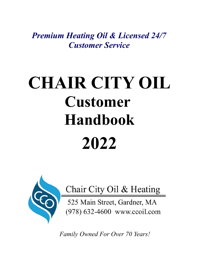*Premium Heating Oil & Licensed 24/7 Customer Service*

# **CHAIR CITY OIL Customer Handbook 2022**



Chair City Oil & Heating

525 Main Street, Gardner, MA (978) 632-4600 www.ccoil.com

 *Family Owned For Over 70 Years!*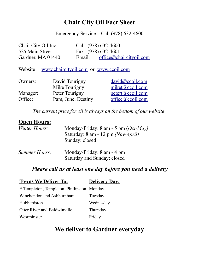### **Chair City Oil Fact Sheet**

Emergency Service – Call (978) 632-4600

| Chair City Oil Inc | Call: (978) 632-4600 |                         |
|--------------------|----------------------|-------------------------|
| 525 Main Street    | Fax: (978) 632-4601  |                         |
| Gardner, MA 01440  | Email:               | office@chaircityoil.com |

Website [www.chaircityoil.com](http://www.chaircityoil.com/) or [www.ccoil.com](http://www.ccoil.com/)

| Owners:  | David Tourigny     | $\frac{david@ccoil.com}{d}$ |
|----------|--------------------|-----------------------------|
|          | Mike Tourigny      | miket@ccoil.com             |
| Manager: | Peter Tourigny     | petert@ccoil.com            |
| Office:  | Pam, June, Destiny | office@ccoil.com            |

*The current price for oil is always on the bottom of our website* 

### **Open Hours:**

| <i>Winter Hours:</i> | Monday-Friday: $8 \text{ am} - 5 \text{ pm}$ ( <i>Oct-May</i> )<br>Saturday: 8 am - 12 pm (Nov-April)<br>Sunday: closed |
|----------------------|-------------------------------------------------------------------------------------------------------------------------|
|                      |                                                                                                                         |

| Summer Hours: | Monday-Friday: 8 am - 4 pm  |  |  |
|---------------|-----------------------------|--|--|
|               | Saturday and Sunday: closed |  |  |

### *Please call us at least one day before you need a delivery*

| <b>Towns We Deliver To:</b>                 | <b>Delivery Day:</b> |  |
|---------------------------------------------|----------------------|--|
| E. Templeton, Templeton, Phillipston Monday |                      |  |
| Winchendon and Ashburnham                   | Tuesday              |  |
| Hubbardston                                 | Wednesday            |  |
| <b>Otter River and Baldwinville</b>         | Thursday             |  |
| Westminster                                 | Friday               |  |
|                                             |                      |  |

### **We deliver to Gardner everyday**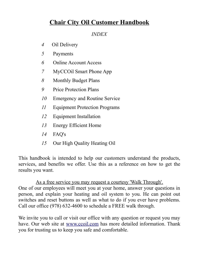### **Chair City Oil Customer Handbook**

*INDEX*

- *4* Oil Delivery
- *5* Payments
- *6* Online Account Access
- *7* MyCCOil Smart Phone App
- *8* Monthly Budget Plans
- *9* Price Protection Plans
- *10* Emergency and Routine Service
- *11* Equipment Protection Programs
- *12* Equipment Installation
- *13* Energy Efficient Home
- *14* FAQ's
- *15* Our High Quality Heating Oil

This handbook is intended to help our customers understand the products, services, and benefits we offer. Use this as a reference on how to get the results you want.

As a free service you may request a courtesy 'Walk Through'. One of our employees will meet you at your home, answer your questions in person, and explain your heating and oil system to you. He can point out switches and reset buttons as well as what to do if you ever have problems. Call our office (978) 632-4600 to schedule a FREE walk through.

We invite you to call or visit our office with any question or request you may have. Our web site at [www.ccoil.com](http://www.ccoil.com/) has more detailed information. Thank you for trusting us to keep you safe and comfortable.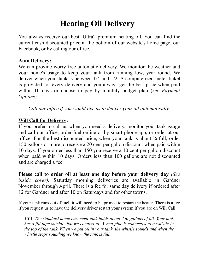# **Heating Oil Delivery**

You always receive our best, Ultra2 premium heating oil. You can find the current cash discounted price at the bottom of our website's home page, our Facebook, or by calling our office.

#### **Auto Delivery:**

We can provide worry free automatic delivery. We monitor the weather and your home's usage to keep your tank from running low, year round. We deliver when your tank is between 1/4 and 1/2. A computerized meter ticket is provided for every delivery and you always get the best price when paid within 10 days or choose to pay by monthly budget plan (*see Payment Options*).

*-Call our office if you would like us to deliver your oil automatically.-*

### **Will Call for Delivery:**

If you prefer to call us when you need a delivery, monitor your tank gauge and call our office, order fuel online or by smart phone app, or order at our office. For the best discounted price, when your tank is about  $\frac{1}{4}$  full, order 150 gallons or more to receive a 20 cent per gallon discount when paid within 10 days. If you order less than 150 you receive a 10 cent per gallon discount when paid within 10 days. Orders less than 100 gallons are not discounted and are charged a fee.

**Please call to order oil at least one day before your delivery day** *(See inside cover).* Saturday morning deliveries are available in Gardner November through April. There is a fee for same day delivery if ordered after 12 for Gardner and after 10 on Saturdays and for other towns.

If your tank runs out of fuel, it will need to be primed to restart the heater. There is a fee if you request us to have the delivery driver restart your system if you are on Will Call.

**FYI** *The standard home basement tank holds about 250 gallons of oil. Your tank has a fill pipe outside that we connect to. A vent pipe is connected to a whistle in the top of the tank. When we put oil in your tank, the whistle sounds and when the whistle stops sounding we know the tank is full.*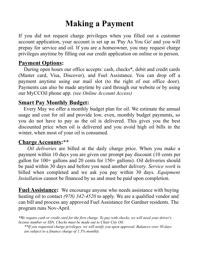### **Making a Payment**

If you did not request charge privileges when you filled out a customer account application, your account is set up as 'Pay As You Go' and you will prepay for service and oil. If you are a homeowner, you may request charge privileges anytime by filling out our credit application on online or in person.

### **Payment Options:**

 During open hours our office accepts: cash, checks\*, debit and credit cards (Master card, Visa, Discover), and Fuel Assistance. You can drop off a payment anytime using our mail slot (to the right of our office door). Payments can also be made anytime by card through our website or by using our MyCCOil phone app. *(see Online Account Access)* 

### **Smart Pay Monthly Budget:**

 Every May we offer a monthly budget plan for oil. We estimate the annual usage and cost for oil and provide low, even, monthly budget payments, so you do not have to pay as the oil is delivered. This gives you the best discounted price when oil is delivered and you avoid high oil bills in the winter, when most of your oil is consumed.

### **Charge Accounts:\*\***

 *Oil deliveries* are billed at the daily charge price. When you make a payment within 10 days you are given our prompt pay discount (10 cents per gallon for 100+ gallons and 20 cents for 150+ gallons). Oil deliveries should be paid within 30 days and before you need another delivery. *Service work* is billed when completed and we ask you pay within 30 days. *Equipment Installation* cannot be financed by us and must be paid upon completion.

**Fuel Assistance:** We encourage anyone who needs assistance with buying heating oil to contact *(978) 342-4520* to apply. We are a qualified vendor and can bill and process any approved Fuel Assistance for Gardner residents. The program runs Nov-April.

*\*We require cash or credit card for the first charge. To pay with checks, we will need your driver's license number or SSN. Checks must be made out to Chair City Oil.*

*\*\*If you requested charge privileges, we will notify you upon approval. Balances over 30 days are subject to a finance charge of 1.5% monthly.*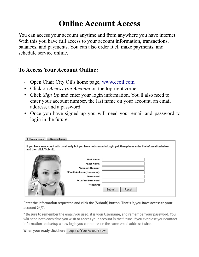# **Online Account Access**

You can access your account anytime and from anywhere you have internet. With this you have full access to your account information, transactions, balances, and payments. You can also order fuel, make payments, and schedule service online.

### **To Access Your Account Online:**

- Open Chair City Oil's home page, [www.ccoil.com](http://www.ccoil.com/)
- Click on *Access you Account* on the top right corner.
- Click *Sign Up* and enter your login information. You'll also need to enter your account number, the last name on your account, an email address, and a password.
- Once you have signed up you will need your email and password to login in the future.

| I Need a Login<br>I Have a Login |                                                |                                                                                                                      |  |
|----------------------------------|------------------------------------------------|----------------------------------------------------------------------------------------------------------------------|--|
| and then click 'Submit'.         |                                                | If you have an account with us already but you have not created a Login yet, then please enter the information below |  |
|                                  | First Name:<br>*Last Name:<br>*Account Number: |                                                                                                                      |  |
|                                  | *Email Address (Username):<br>*Password:       |                                                                                                                      |  |
|                                  | *Confirm Password:<br>*Required                |                                                                                                                      |  |
|                                  |                                                | Reset<br>Submit                                                                                                      |  |

Enter the information requested and click the [Submit] button. That's it, you have access to your account 24/7.

\* Be sure to remember the email you used, it is your Username, and remember your password. You will need both each time you wish to access your account in the future. If you ever lose your contact information and setup a new login you cannot reuse the same email address twice.

When your ready click here Login to Your Account now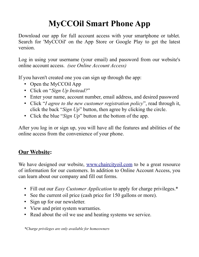# **MyCCOil Smart Phone App**

Download our app for full account access with your smartphone or tablet. Search for 'MyCCOil' on the App Store or Google Play to get the latest version.

Log in using your username (your email) and password from our website's online account access. *(see Online Account Access)*

If you haven't created one you can sign up through the app:

- Open the MyCCO<sub>il</sub> App
- Click on "*Sign Up Instead?*"
- Enter your name, account number, email address, and desired password
- Click "*I agree to the new customer registration policy*", read through it, click the back "*Sign Up*" button, then agree by clicking the circle.
- Click the blue "*Sign Up*" button at the bottom of the app.

After you log in or sign up, you will have all the features and abilities of the online access from the convenience of your phone.

### **Our Website:**

We have designed our website, [www.chaircityoil.com](http://www.chaircityoil.com/) to be a great resource of information for our customers. In addition to Online Account Access, you can learn about our company and fill out forms.

- Fill out our *Easy Customer Application* to apply for charge privileges.\*
- See the current oil price (cash price for 150 gallons or more).
- Sign up for our newsletter.
- View and print system warranties.
- Read about the oil we use and heating systems we service.

*\*Charge privileges are only available for homeowners*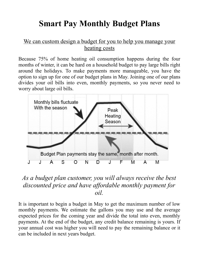# **Smart Pay Monthly Budget Plans**

### We can custom design a budget for you to help you manage your heating costs

Because 75% of home heating oil consumption happens during the four months of winter, it can be hard on a household budget to pay large bills right around the holidays. To make payments more manageable, you have the option to sign up for one of our budget plans in May. Joining one of our plans divides your oil bills into even, monthly payments, so you never need to worry about large oil bills.



### *As a budget plan customer, you will always receive the best discounted price and have affordable monthly payment for oil.*

It is important to begin a budget in May to get the maximum number of low monthly payments. We estimate the gallons you may use and the average expected prices for the coming year and divide the total into even, monthly payments. At the end of the budget, any credit balance remaining is yours. If your annual cost was higher you will need to pay the remaining balance or it can be included in next years budget.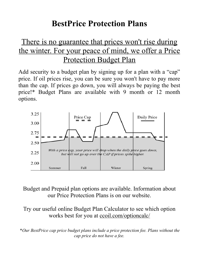### **BestPrice Protection Plans**

### There is no guarantee that prices won't rise during the winter. For your peace of mind, we offer a Price Protection Budget Plan

Add security to a budget plan by signing up for a plan with a "cap" price. If oil prices rise, you can be sure you won't have to pay more than the cap. If prices go down, you will always be paying the best price!\* Budget Plans are available with 9 month or 12 month options.



Budget and Prepaid plan options are available. Information about our Price Protection Plans is on our website.

Try our useful online Budget Plan Calculator to see which option works best for you at <u>ccoil.com/optioncalc/</u>

\**Our BestPrice cap price budget plans include a price protection fee. Plans without the cap price do not have a fee.*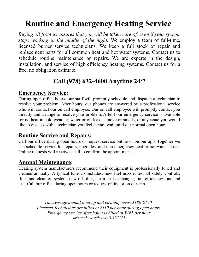# **Routine and Emergency Heating Service**

*Buying oil from us ensures that you will be taken care of, even if your system stops working in the middle of the night.* We employ a team of full-time, licensed burner service technicians. We keep a full stock of repair and replacement parts for all common heat and hot water systems. Contact us to schedule routine maintenance or repairs. We are experts in the design, installation, and service of high efficiency heating systems. Contact us for a free, no obligation estimate.

### **Call (978) 632-4600 Anytime 24/7**

### **Emergency Service:**

During open office hours, our staff will promptly schedule and dispatch a technician to resolve your problem. After hours, our phones are answered by a professional service who will contact our on call employee. Our on call employee will promptly contact you directly and arrange to resolve your problem. After hour emergency service is available for no heat in cold weather, water or oil leaks, smoke or smells, or any issue you would like to discuss with a technician you feel cannot wait until our normal open hours.

### **Routine Service and Repairs:**

Call our office during open hours or request service online or on our app. Together we can schedule service for repairs, upgrades, and non emergency heat or hot water issues. Online requests will receive a call to confirm the appointment.

### **Annual Maintenance:**

Heating system manufacturers recommend their equipment is professionally tuned and cleaned annually. A typical tune-up includes; new fuel nozzle, test all safety controls, flush and clean oil system, new oil filter, clean heat exchanger, run, efficiency tune and test. Call our office during open hours or request online or on our app.

> *The average annual tune-up and cleaning costs \$180-\$190. Licensed Technicians are billed at \$110 per hour during open hours. Emergency service after hours is billed at \$165 per hour. prices above effective 11/15/2021*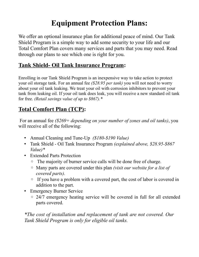### **Equipment Protection Plans:**

We offer an optional insurance plan for additional peace of mind. Our Tank Shield Program is a simple way to add some security to your life and our Total Comfort Plan covers many services and parts that you may need. Read through our plans to see which one is right for you.

### **Tank Shield- Oil Tank Insurance Program:**

Enrolling in our Tank Shield Program is an inexpensive way to take action to protect your oil storage tank. For an annual fee *(\$28.95 per tank)* you will not need to worry about your oil tank leaking. We treat your oil with corrosion inhibitors to prevent your tank from leaking oil. If your oil tank does leak, you will receive a new standard oil tank for free. *(Retail savings value of up to \$867).\**

### **Total Comfort Plan (TCP):**

 For an annual fee *(\$269+ depending on your number of zones and oil tanks)*, you will receive all of the following:

- Annual Cleaning and Tune-Up *(\$180-\$190 Value)*
- Tank Shield Oil Tank Insurance Program *(explained above, \$28.95-\$867 Value)\**
- Extended Parts Protection
	- The majority of burner service calls will be done free of charge.
	- Many parts are covered under this plan *(visit our website for a list of covered parts).*
	- If you have a problem with a covered part, the cost of labor is covered in addition to the part.
- Emergency Burner Service
	- 24/7 emergency heating service will be covered in full for all extended parts covered.

*\*The cost of installation and replacement of tank are not covered. Our Tank Shield Program is only for eligible oil tanks.*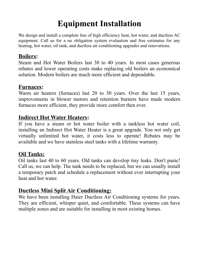# **Equipment Installation**

We design and install a complete line of high efficiency heat, hot water, and ductless AC equipment. Call us for a no obligation system evaluation and free estimates for any heating, hot water, oil tank, and ductless air conditioning upgrades and renovations.

### **Boilers:**

Steam and Hot Water Boilers last 30 to 40 years. In most cases generous rebates and lower operating costs make replacing old boilers an economical solution. Modern boilers are much more efficient and dependable.

### **Furnaces:**

Warm air heaters (furnaces) last 20 to 30 years. Over the last 15 years, improvements in blower motors and retention burners have made modern furnaces more efficient, they provide more comfort then ever.

### **Indirect Hot Water Heaters:**

If you have a steam or hot water boiler with a tankless hot water coil, installing an Indirect Hot Water Heater is a great upgrade. You not only get virtually unlimited hot water, it costs less to operate! Rebates may be available and we have stainless steel tanks with a lifetime warranty.

### **Oil Tanks:**

Oil tanks last 40 to 60 years. Old tanks can develop tiny leaks. Don't panic! Call us, we can help. The tank needs to be replaced, but we can usually install a temporary patch and schedule a replacement without ever interrupting your heat and hot water.

### **Ductless Mini Split Air Conditioning:**

We have been installing Haier Ductless Air Conditioning systems for years. They are efficient, whisper quiet, and comfortable. These systems can have multiple zones and are suitable for installing in most existing homes.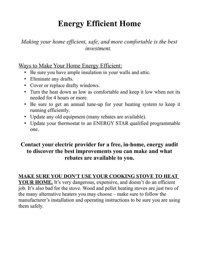# **Energy Efficient Home**

### *Making your home efficient, safe, and more comfortable is the best investment.*

### Ways to Make Your Home Energy Efficient:

- Be sure you have ample insulation in your walls and attic.
- Eliminate any drafts.
- Cover or replace drafty windows.
- Turn the heat down as low as comfortable and keep it low when not its needed for 4 hours or more.
- Be sure to get an annual tune-up for your heating system to keep it running efficiently.
- Update any old equipment (many rebates are available).
- Update your thermostat to an ENERGY STAR qualified programmable one.

### **Contact your electric provider for a free, in-home, energy audit to discover the best improvements you can make and what rebates are available to you.**

### **MAKE SURE YOU DON'T USE YOUR COOKING STOVE TO HEAT**

**YOUR HOME.** It's very dangerous, expensive, and doesn't do an efficient job. It's also bad for the stove. Wood and pellet heating stoves are just two of the many alternative heaters you may choose – make sure to follow the manufacturer's installation and operating instructions to be sure you are using them safely.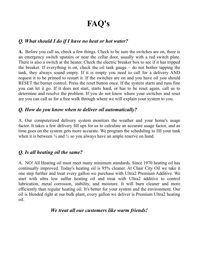# **FAQ's**

#### *Q. What should I do if I have no heat or hot water?*

**A.** Before you call us, check a few things. Check to be sure the switches are on, there is an emergency switch upstairs or near the cellar door, usually with a red switch plate. There is also a switch at the heater. Check the electric breaker box to see if it has tripped the breaker. If everything is on, check the oil tank gauge – do not bother tapping the tank, they always sound empty. If it is empty you need to call for a delivery AND request it to be primed to restart it. If the switches are on and you have oil you should RESET the burner control. Press the reset button once. If the system starts and runs fine you can let it go. If it does not start, starts hard, or has to be reset again, call us to determine and resolve the problem. If you do not know where your switches and reset are you can call us for a free walk through where we will explain your system to you.

#### *Q. How do you know when to deliver oil automatically?*

A. Our computerized delivery system monitors the weather and your home's usage factor. It takes a few delivery fill ups for us to calculate an accurate usage factor, and as time goes on the system gets more accurate. We program the scheduling to fill your tank when it is between  $\frac{1}{4}$  and  $\frac{1}{2}$  so you always have an ample reserve on hand.

#### *Q. Is all heating oil the same?*

A. NO! All Heating oil must meet many minimum standards. Since 1970 heating oil has continually improved. Today's heating oil is 95% cleaner. At Chair City Oil we take it one step further and treat every gallon we purchase with Ultra2 Premium Additive. We start with ultra low sulfur heating oil and treat with Ultra2 additive to control lubrication, metal corrosion, stability, and moisture. It will burn cleaner and more efficiently than regular heating oil. It's better for your system and the environment. Our oil is blended right at our bulk plant, every gallon we deliver is Premium Ultra2 heating oil.

#### *We treat all our customers like warm friends!*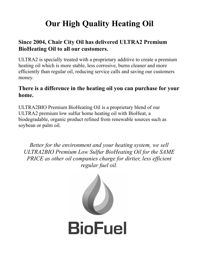# **Our High Quality Heating Oil**

### **Since 2004, Chair City Oil has delivered ULTRA2 Premium BioHeating Oil to all our customers.**

ULTRA2 is specially treated with a proprietary additive to create a premium heating oil which is more stable, less corrosive, burns cleaner and more efficiently than regular oil, reducing service calls and saving our customers money.

### **There is a difference in the heating oil you can purchase for your home.**

ULTRA2BIO Premium BioHeating Oil is a proprietary blend of our ULTRA2 premium low sulfur home heating oil with BioHeat, a biodegradable, organic product refined from renewable sources such as soybean or palm oil.

*Better for the environment and your heating system, we sell ULTRA2BIO Premium Low Sulfur BioHeating Oil for the SAME PRICE as other oil companies charge for dirtier, less efficient regular fuel oil.*